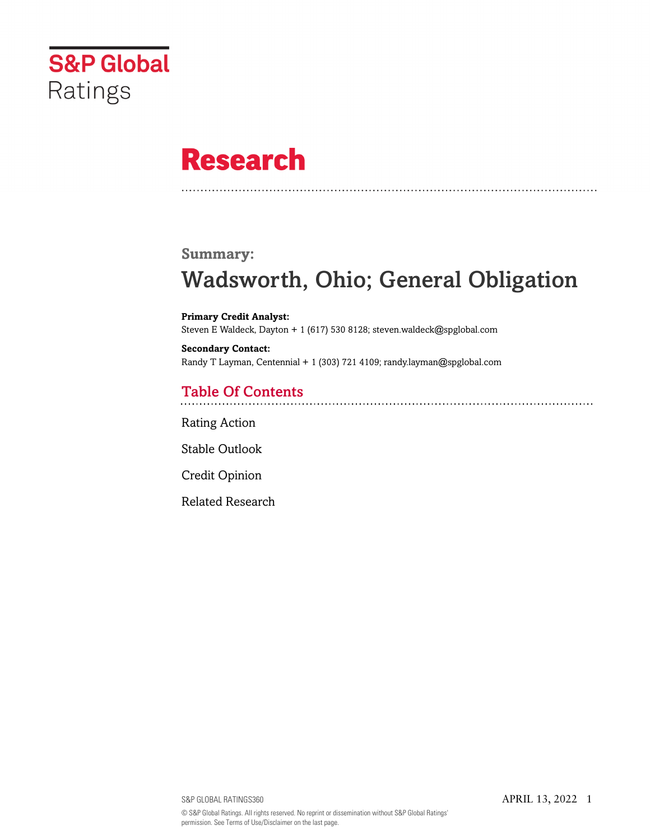

# **Research**

#### **Summary:**

## Wadsworth, Ohio; General Obligation

**Primary Credit Analyst:** Steven E Waldeck, Dayton + 1 (617) 530 8128; steven.waldeck@spglobal.com

**Secondary Contact:** Randy T Layman, Centennial + 1 (303) 721 4109; randy.layman@spglobal.com

## Table Of Contents

[Rating Action](#page-1-0)

[Stable Outlook](#page-2-0)

[Credit Opinion](#page-2-1)

[Related Research](#page-5-0)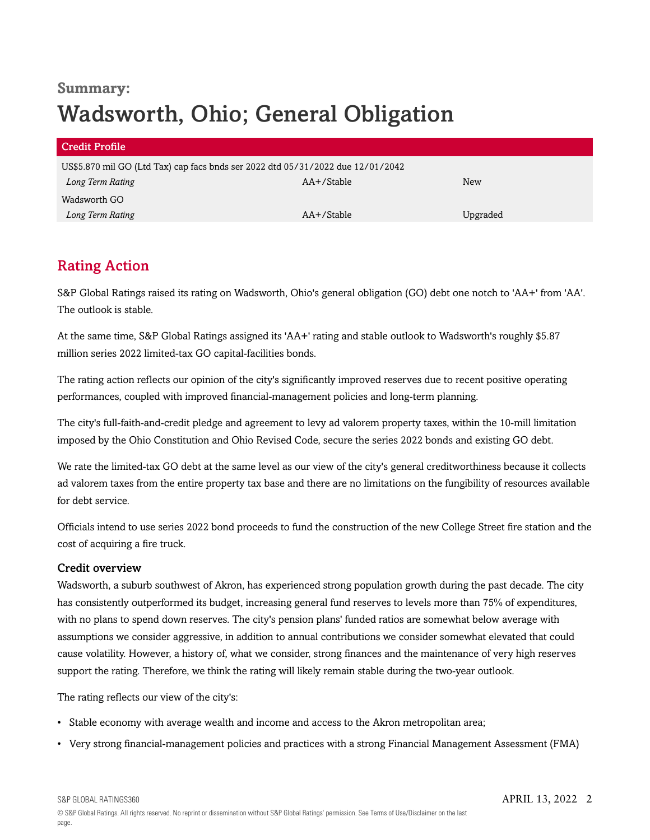## **Summary:** Wadsworth, Ohio; General Obligation

| Credit Profile                                                                  |            |          |  |  |
|---------------------------------------------------------------------------------|------------|----------|--|--|
| US\$5.870 mil GO (Ltd Tax) cap facs bnds ser 2022 dtd 05/31/2022 due 12/01/2042 |            |          |  |  |
| Long Term Rating                                                                | AA+/Stable | New      |  |  |
| Wadsworth GO                                                                    |            |          |  |  |
| Long Term Rating                                                                | AA+/Stable | Upgraded |  |  |

## <span id="page-1-0"></span>Rating Action

S&P Global Ratings raised its rating on Wadsworth, Ohio's general obligation (GO) debt one notch to 'AA+' from 'AA'. The outlook is stable.

At the same time, S&P Global Ratings assigned its 'AA+' rating and stable outlook to Wadsworth's roughly \$5.87 million series 2022 limited-tax GO capital-facilities bonds.

The rating action reflects our opinion of the city's significantly improved reserves due to recent positive operating performances, coupled with improved financial-management policies and long-term planning.

The city's full-faith-and-credit pledge and agreement to levy ad valorem property taxes, within the 10-mill limitation imposed by the Ohio Constitution and Ohio Revised Code, secure the series 2022 bonds and existing GO debt.

We rate the limited-tax GO debt at the same level as our view of the city's general creditworthiness because it collects ad valorem taxes from the entire property tax base and there are no limitations on the fungibility of resources available for debt service.

Officials intend to use series 2022 bond proceeds to fund the construction of the new College Street fire station and the cost of acquiring a fire truck.

#### Credit overview

Wadsworth, a suburb southwest of Akron, has experienced strong population growth during the past decade. The city has consistently outperformed its budget, increasing general fund reserves to levels more than 75% of expenditures, with no plans to spend down reserves. The city's pension plans' funded ratios are somewhat below average with assumptions we consider aggressive, in addition to annual contributions we consider somewhat elevated that could cause volatility. However, a history of, what we consider, strong finances and the maintenance of very high reserves support the rating. Therefore, we think the rating will likely remain stable during the two-year outlook.

The rating reflects our view of the city's:

- Stable economy with average wealth and income and access to the Akron metropolitan area;
- Very strong financial-management policies and practices with a strong Financial Management Assessment (FMA)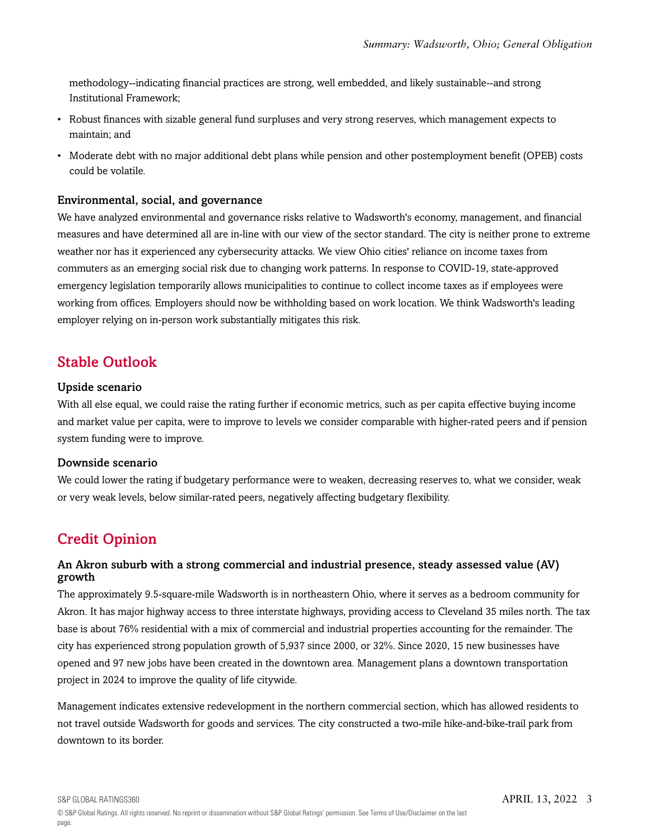methodology--indicating financial practices are strong, well embedded, and likely sustainable--and strong Institutional Framework;

- Robust finances with sizable general fund surpluses and very strong reserves, which management expects to maintain; and
- Moderate debt with no major additional debt plans while pension and other postemployment benefit (OPEB) costs could be volatile.

#### Environmental, social, and governance

We have analyzed environmental and governance risks relative to Wadsworth's economy, management, and financial measures and have determined all are in-line with our view of the sector standard. The city is neither prone to extreme weather nor has it experienced any cybersecurity attacks. We view Ohio cities' reliance on income taxes from commuters as an emerging social risk due to changing work patterns. In response to COVID-19, state-approved emergency legislation temporarily allows municipalities to continue to collect income taxes as if employees were working from offices. Employers should now be withholding based on work location. We think Wadsworth's leading employer relying on in-person work substantially mitigates this risk.

### <span id="page-2-0"></span>Stable Outlook

#### Upside scenario

With all else equal, we could raise the rating further if economic metrics, such as per capita effective buying income and market value per capita, were to improve to levels we consider comparable with higher-rated peers and if pension system funding were to improve.

#### Downside scenario

We could lower the rating if budgetary performance were to weaken, decreasing reserves to, what we consider, weak or very weak levels, below similar-rated peers, negatively affecting budgetary flexibility.

## <span id="page-2-1"></span>Credit Opinion

#### An Akron suburb with a strong commercial and industrial presence, steady assessed value (AV) growth

The approximately 9.5-square-mile Wadsworth is in northeastern Ohio, where it serves as a bedroom community for Akron. It has major highway access to three interstate highways, providing access to Cleveland 35 miles north. The tax base is about 76% residential with a mix of commercial and industrial properties accounting for the remainder. The city has experienced strong population growth of 5,937 since 2000, or 32%. Since 2020, 15 new businesses have opened and 97 new jobs have been created in the downtown area. Management plans a downtown transportation project in 2024 to improve the quality of life citywide.

Management indicates extensive redevelopment in the northern commercial section, which has allowed residents to not travel outside Wadsworth for goods and services. The city constructed a two-mile hike-and-bike-trail park from downtown to its border.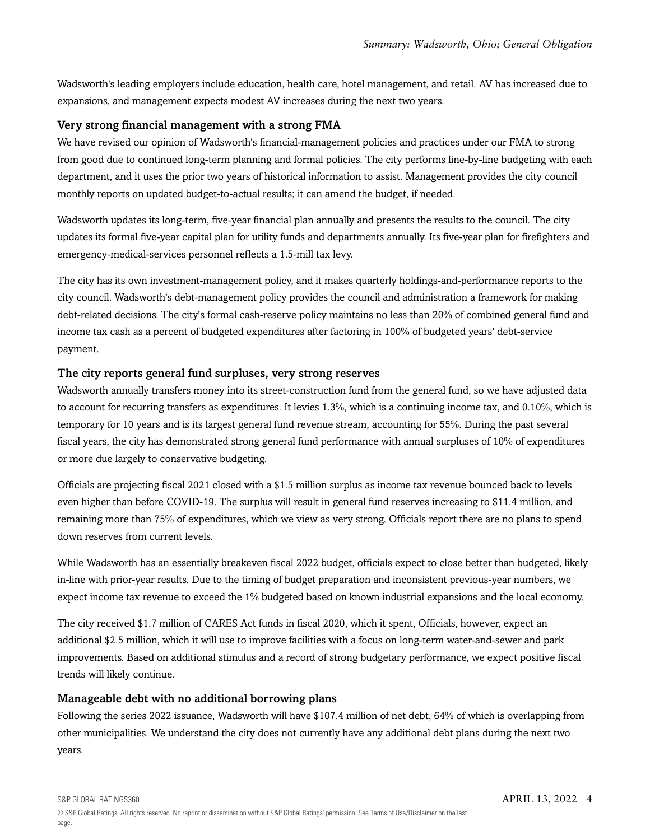Wadsworth's leading employers include education, health care, hotel management, and retail. AV has increased due to expansions, and management expects modest AV increases during the next two years.

#### Very strong financial management with a strong FMA

We have revised our opinion of Wadsworth's financial-management policies and practices under our FMA to strong from good due to continued long-term planning and formal policies. The city performs line-by-line budgeting with each department, and it uses the prior two years of historical information to assist. Management provides the city council monthly reports on updated budget-to-actual results; it can amend the budget, if needed.

Wadsworth updates its long-term, five-year financial plan annually and presents the results to the council. The city updates its formal five-year capital plan for utility funds and departments annually. Its five-year plan for firefighters and emergency-medical-services personnel reflects a 1.5-mill tax levy.

The city has its own investment-management policy, and it makes quarterly holdings-and-performance reports to the city council. Wadsworth's debt-management policy provides the council and administration a framework for making debt-related decisions. The city's formal cash-reserve policy maintains no less than 20% of combined general fund and income tax cash as a percent of budgeted expenditures after factoring in 100% of budgeted years' debt-service payment.

#### The city reports general fund surpluses, very strong reserves

Wadsworth annually transfers money into its street-construction fund from the general fund, so we have adjusted data to account for recurring transfers as expenditures. It levies 1.3%, which is a continuing income tax, and 0.10%, which is temporary for 10 years and is its largest general fund revenue stream, accounting for 55%. During the past several fiscal years, the city has demonstrated strong general fund performance with annual surpluses of 10% of expenditures or more due largely to conservative budgeting.

Officials are projecting fiscal 2021 closed with a \$1.5 million surplus as income tax revenue bounced back to levels even higher than before COVID-19. The surplus will result in general fund reserves increasing to \$11.4 million, and remaining more than 75% of expenditures, which we view as very strong. Officials report there are no plans to spend down reserves from current levels.

While Wadsworth has an essentially breakeven fiscal 2022 budget, officials expect to close better than budgeted, likely in-line with prior-year results. Due to the timing of budget preparation and inconsistent previous-year numbers, we expect income tax revenue to exceed the 1% budgeted based on known industrial expansions and the local economy.

The city received \$1.7 million of CARES Act funds in fiscal 2020, which it spent, Officials, however, expect an additional \$2.5 million, which it will use to improve facilities with a focus on long-term water-and-sewer and park improvements. Based on additional stimulus and a record of strong budgetary performance, we expect positive fiscal trends will likely continue.

#### Manageable debt with no additional borrowing plans

Following the series 2022 issuance, Wadsworth will have \$107.4 million of net debt, 64% of which is overlapping from other municipalities. We understand the city does not currently have any additional debt plans during the next two years.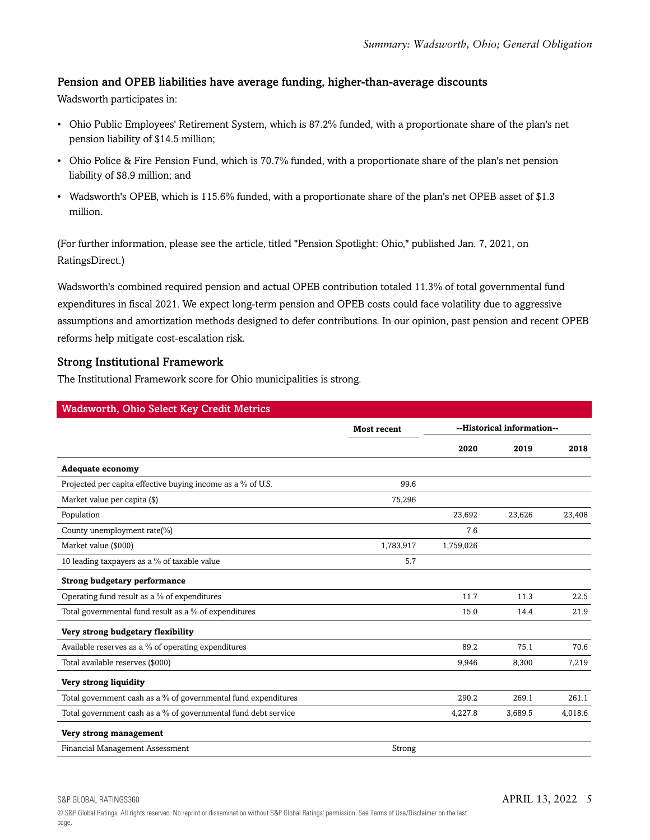#### Pension and OPEB liabilities have average funding, higher-than-average discounts

Wadsworth participates in:

- Ohio Public Employees' Retirement System, which is 87.2% funded, with a proportionate share of the plan's net pension liability of \$14.5 million;
- Ohio Police & Fire Pension Fund, which is 70.7% funded, with a proportionate share of the plan's net pension liability of \$8.9 million; and
- Wadsworth's OPEB, which is 115.6% funded, with a proportionate share of the plan's net OPEB asset of \$1.3 million.

(For further information, please see the article, titled "Pension Spotlight: Ohio," published Jan. 7, 2021, on RatingsDirect.)

Wadsworth's combined required pension and actual OPEB contribution totaled 11.3% of total governmental fund expenditures in fiscal 2021. We expect long-term pension and OPEB costs could face volatility due to aggressive assumptions and amortization methods designed to defer contributions. In our opinion, past pension and recent OPEB reforms help mitigate cost-escalation risk.

#### Strong Institutional Framework

The Institutional Framework score for Ohio municipalities is strong.

| <b>Wadsworth, Ohio Select Key Credit Metrics</b>               |                    |                            |         |         |
|----------------------------------------------------------------|--------------------|----------------------------|---------|---------|
|                                                                | <b>Most recent</b> | --Historical information-- |         |         |
|                                                                |                    | 2020                       | 2019    | 2018    |
| <b>Adequate economy</b>                                        |                    |                            |         |         |
| Projected per capita effective buying income as a % of U.S.    | 99.6               |                            |         |         |
| Market value per capita (\$)                                   | 75,296             |                            |         |         |
| Population                                                     |                    | 23,692                     | 23,626  | 23,408  |
| County unemployment rate(%)                                    |                    | 7.6                        |         |         |
| Market value (\$000)                                           | 1,783,917          | 1,759,026                  |         |         |
| 10 leading taxpayers as a % of taxable value                   | 5.7                |                            |         |         |
| <b>Strong budgetary performance</b>                            |                    |                            |         |         |
| Operating fund result as a % of expenditures                   |                    | 11.7                       | 11.3    | 22.5    |
| Total governmental fund result as a % of expenditures          |                    | 15.0                       | 14.4    | 21.9    |
| Very strong budgetary flexibility                              |                    |                            |         |         |
| Available reserves as a % of operating expenditures            |                    | 89.2                       | 75.1    | 70.6    |
| Total available reserves (\$000)                               |                    | 9,946                      | 8,300   | 7,219   |
| Very strong liquidity                                          |                    |                            |         |         |
| Total government cash as a % of governmental fund expenditures |                    | 290.2                      | 269.1   | 261.1   |
| Total government cash as a % of governmental fund debt service |                    | 4,227.8                    | 3,689.5 | 4,018.6 |
| Very strong management                                         |                    |                            |         |         |
| Financial Management Assessment                                | Strong             |                            |         |         |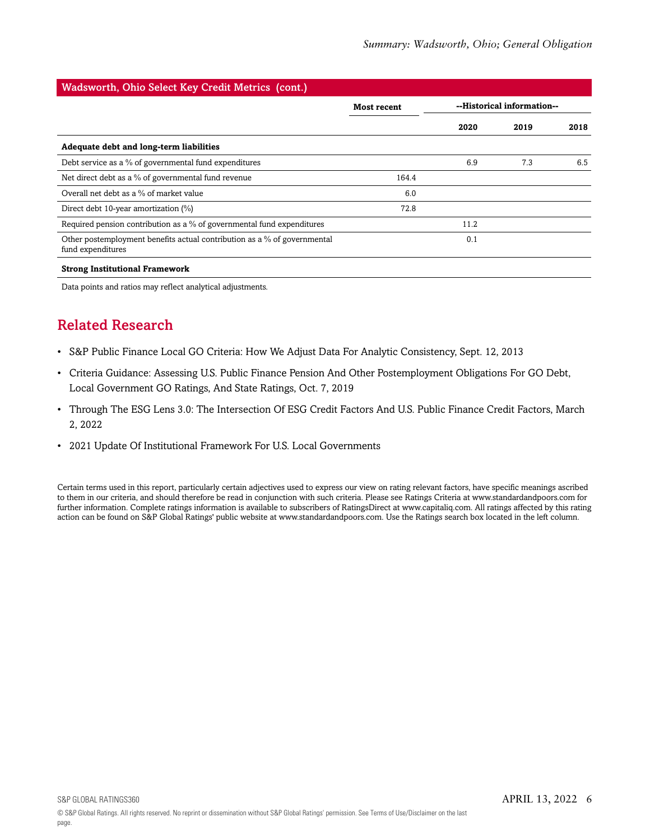#### Wadsworth, Ohio Select Key Credit Metrics (cont.) **Most recent --Historical information-- 2020 2019 2018 Adequate debt and long-term liabilities** Debt service as a % of governmental fund expenditures 6.9 7.3 6.5 Net direct debt as a % of governmental fund revenue 164.4 Overall net debt as a % of market value 6.0 Direct debt 10-year amortization (%) 72.8 Required pension contribution as a % of governmental fund expenditures 11.2 Other postemployment benefits actual contribution as a % of governmental fund expenditures 0.1 **Strong Institutional Framework**

<span id="page-5-0"></span>Data points and ratios may reflect analytical adjustments.

## Related Research

- S&P Public Finance Local GO Criteria: How We Adjust Data For Analytic Consistency, Sept. 12, 2013
- Criteria Guidance: Assessing U.S. Public Finance Pension And Other Postemployment Obligations For GO Debt, Local Government GO Ratings, And State Ratings, Oct. 7, 2019
- Through The ESG Lens 3.0: The Intersection Of ESG Credit Factors And U.S. Public Finance Credit Factors, March 2, 2022
- 2021 Update Of Institutional Framework For U.S. Local Governments

Certain terms used in this report, particularly certain adjectives used to express our view on rating relevant factors, have specific meanings ascribed to them in our criteria, and should therefore be read in conjunction with such criteria. Please see Ratings Criteria at www.standardandpoors.com for further information. Complete ratings information is available to subscribers of RatingsDirect at www.capitaliq.com. All ratings affected by this rating action can be found on S&P Global Ratings' public website at www.standardandpoors.com. Use the Ratings search box located in the left column.